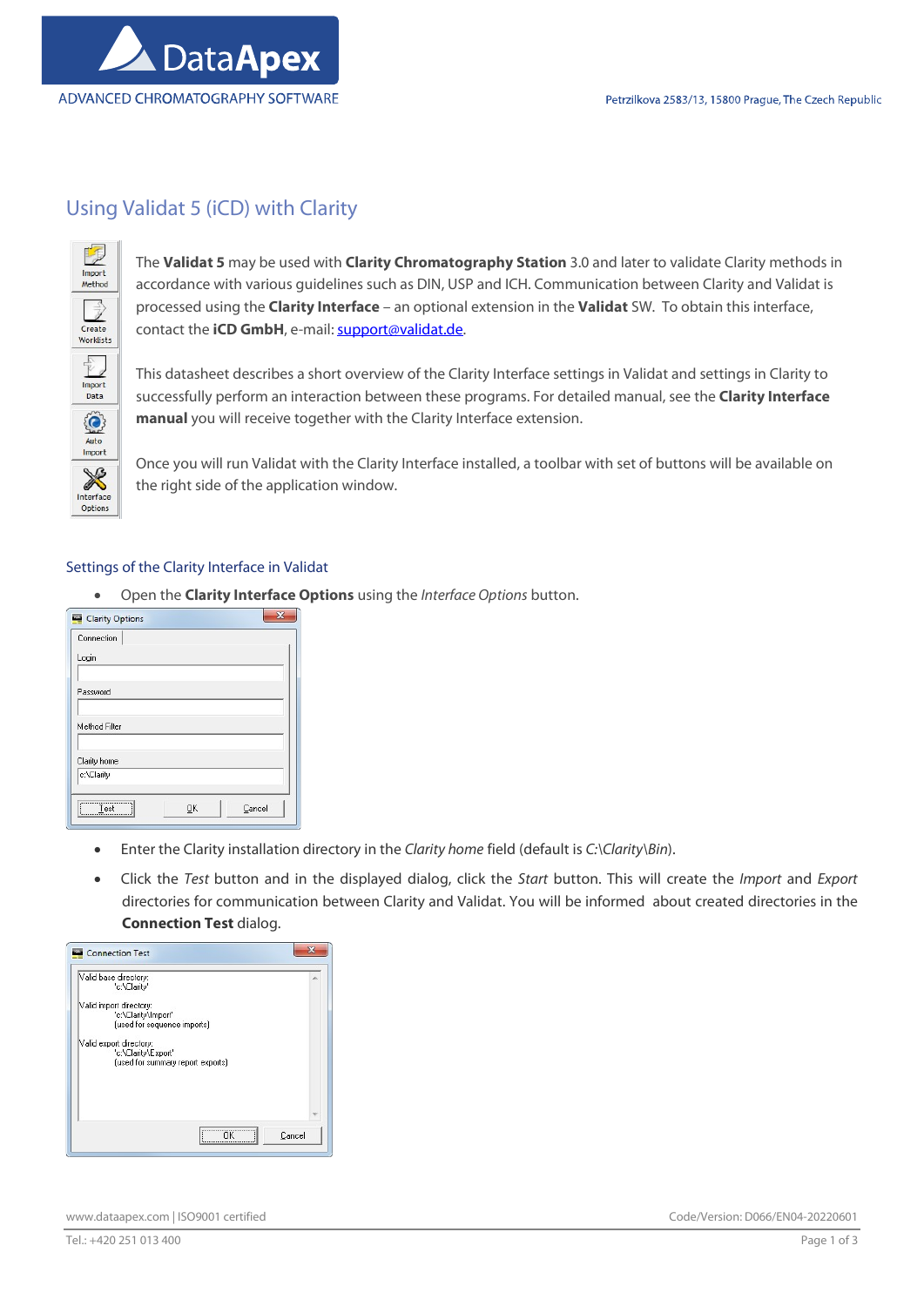

# Using Validat 5 (iCD) with Clarity



The Validat 5 may be used with Clarity Chromatography Station 3.0 and later to validate Clarity methods in accordance with various guidelines such as DIN, USP and ICH. Communication between Clarity and Validat is processed using the Clarity Interface – an optional extension in the Validat SW. To obtain this interface, contact the iCD GmbH, e-mail: support@validat.de.

This datasheet describes a short overview of the Clarity Interface settings in Validat and settings in Clarity to successfully perform an interaction between these programs. For detailed manual, see the Clarity Interface manual you will receive together with the Clarity Interface extension.

Once you will run Validat with the Clarity Interface installed, a toolbar with set of buttons will be available on the right side of the application window.

## Settings of the Clarity Interface in Validat

Open the **Clarity Interface Options** using the Interface Options button.

| Clarity Options        |    |        | 53 |
|------------------------|----|--------|----|
| Connection             |    |        |    |
| Login                  |    |        |    |
| Password               |    |        |    |
| Method Filter          |    |        |    |
| Clarity home           |    |        |    |
| c:\Clarity             |    |        |    |
| <br>Test<br>---------- | OK | Cancel |    |

- Enter the Clarity installation directory in the Clarity home field (default is C:\Clarity\Bin).
- Click the Test button and in the displayed dialog, click the Start button. This will create the *Import* and Export directories for communication between Clarity and Validat. You will be informed about created directories in the Connection Test dialog.

| Valid base directory:<br>'c:\Claritv'                                               | ۸ |
|-------------------------------------------------------------------------------------|---|
| Valid import directory:<br>'c:\Clarity\Import'<br>(used for sequence imports)       |   |
| Valid export directory:<br>'c:\Clarity\Export'<br>(used for summary report exports) |   |
|                                                                                     |   |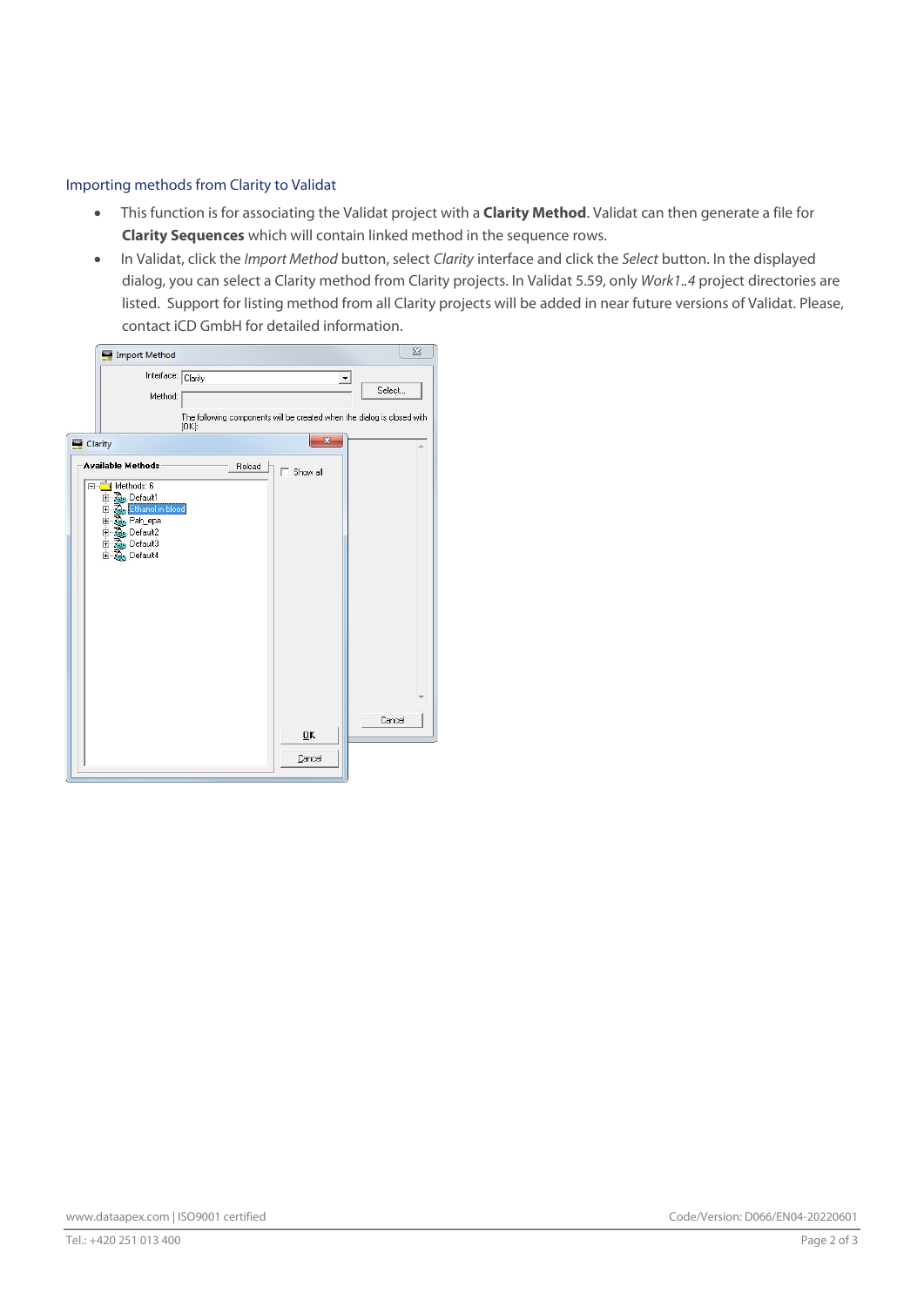# Importing methods from Clarity to Validat

- This function is for associating the Validat project with a **Clarity Method**. Validat can then generate a file for Clarity Sequences which will contain linked method in the sequence rows.
- In Validat, click the *Import Method* button, select Clarity interface and click the Select button. In the displayed dialog, you can select a Clarity method from Clarity projects. In Validat 5.59, only Work1..4 project directories are listed. Support for listing method from all Clarity projects will be added in near future versions of Validat. Please, contact iCD GmbH for detailed information.

| Import Method                                                                                                                                                          | $\Sigma$                                                                                                              |
|------------------------------------------------------------------------------------------------------------------------------------------------------------------------|-----------------------------------------------------------------------------------------------------------------------|
| Interface: Clarity<br>Method:                                                                                                                                          | Select                                                                                                                |
| Clarity<br><b>Available Methods</b><br>□ Methods: 6<br><b>B</b> , Default1<br>由<br>由身<br>Ethanol in blood<br>Pah_epa<br>由 & Default2<br>El- Car Default3<br>E Default4 | The following components will be created when the dialog is closed with<br>$[OK]$ :<br>X<br>Reload<br>$\Box$ Show all |
|                                                                                                                                                                        | Cancel<br>0K<br>Cancel                                                                                                |